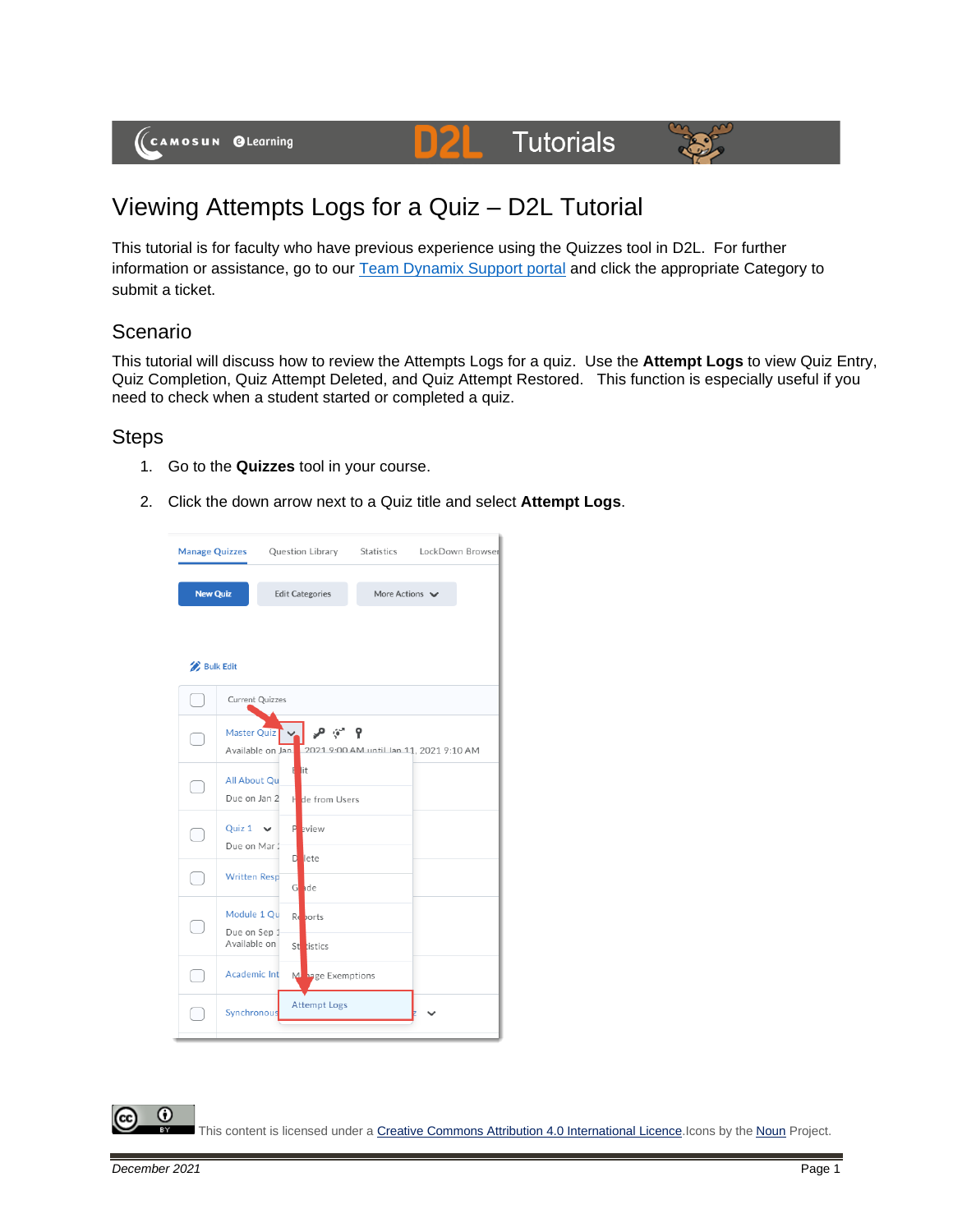(CAMOSUN @Learning

# **D2L** Tutorials



## Viewing Attempts Logs for a Quiz – D2L Tutorial

This tutorial is for faculty who have previous experience using the Quizzes tool in D2L. For further information or assistance, go to our [Team Dynamix Support portal](https://camosun.teamdynamix.com/TDClient/67/Portal/Requests/ServiceCatalog?CategoryID=523) and click the appropriate Category to submit a ticket.

#### Scenario

This tutorial will discuss how to review the Attempts Logs for a quiz. Use the **Attempt Logs** to view Quiz Entry, Quiz Completion, Quiz Attempt Deleted, and Quiz Attempt Restored. This function is especially useful if you need to check when a student started or completed a quiz.

#### **Steps**

- 1. Go to the **Quizzes** tool in your course.
- 2. Click the down arrow next to a Quiz title and select **Attempt Logs**.



This content is licensed under [a Creative Commons Attribution 4.0 International Licence.I](https://creativecommons.org/licenses/by/4.0/)cons by the [Noun](https://creativecommons.org/website-icons/) Project.

0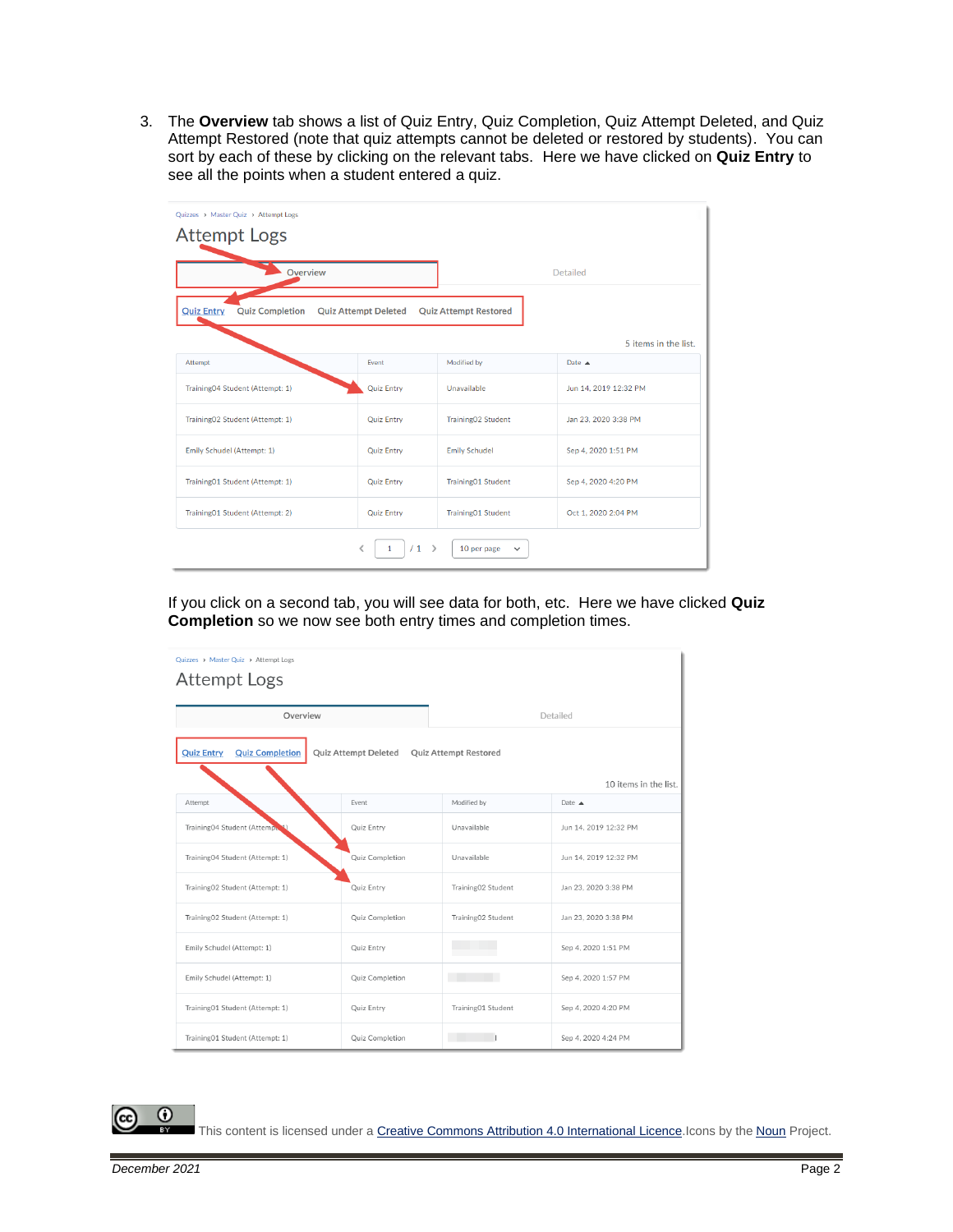3. The **Overview** tab shows a list of Quiz Entry, Quiz Completion, Quiz Attempt Deleted, and Quiz Attempt Restored (note that quiz attempts cannot be deleted or restored by students). You can sort by each of these by clicking on the relevant tabs. Here we have clicked on **Quiz Entry** to see all the points when a student entered a quiz.

| Quizzes > Master Quiz > Attempt Logs<br><b>Attempt Logs</b>                                                |                   |                           |                       |  |
|------------------------------------------------------------------------------------------------------------|-------------------|---------------------------|-----------------------|--|
| Overview                                                                                                   |                   |                           | <b>Detailed</b>       |  |
| <b>Quiz Entry</b><br><b>Quiz Completion</b><br><b>Quiz Attempt Deleted</b><br><b>Quiz Attempt Restored</b> |                   |                           |                       |  |
|                                                                                                            |                   |                           | 5 items in the list.  |  |
| Attempt                                                                                                    | Event             | Modified by               | Date $\triangle$      |  |
| Training04 Student (Attempt: 1)                                                                            | <b>Quiz Entry</b> | Unavailable               | Jun 14, 2019 12:32 PM |  |
| Training02 Student (Attempt: 1)                                                                            | <b>Quiz Entry</b> | Training02 Student        | Jan 23, 2020 3:38 PM  |  |
| Emily Schudel (Attempt: 1)                                                                                 | <b>Quiz Entry</b> | <b>Emily Schudel</b>      | Sep 4, 2020 1:51 PM   |  |
| Training01 Student (Attempt: 1)                                                                            | <b>Quiz Entry</b> | <b>Training01 Student</b> | Sep 4, 2020 4:20 PM   |  |
| Training01 Student (Attempt: 2)                                                                            | <b>Quiz Entry</b> | Training01 Student        | Oct 1, 2020 2:04 PM   |  |
| /1<br>-><br>10 per page<br>$\check{ }$                                                                     |                   |                           |                       |  |

If you click on a second tab, you will see data for both, etc. Here we have clicked **Quiz Completion** so we now see both entry times and completion times.

| Quizzes > Master Quiz > Attempt Logs        |                             |                              |                       |  |
|---------------------------------------------|-----------------------------|------------------------------|-----------------------|--|
| <b>Attempt Logs</b>                         |                             |                              |                       |  |
|                                             |                             |                              |                       |  |
| Overview                                    |                             | Detailed                     |                       |  |
| <b>Quiz Completion</b><br><b>Quiz Entry</b> | <b>Quiz Attempt Deleted</b> | <b>Quiz Attempt Restored</b> |                       |  |
|                                             |                             |                              | 10 items in the list. |  |
| Attempt                                     | Event                       | Modified by                  | Date $\triangle$      |  |
| Training04 Student (Attempt                 | Quiz Entry                  | Unavailable                  | Jun 14, 2019 12:32 PM |  |
| Training04 Student (Attempt: 1)             | Quiz Completion             | Unavailable                  | Jun 14, 2019 12:32 PM |  |
| Training02 Student (Attempt: 1)             | Quiz Entry                  | Training02 Student           | Jan 23, 2020 3:38 PM  |  |
| Training02 Student (Attempt: 1)             | Quiz Completion             | Training02 Student           | Jan 23, 2020 3:38 PM  |  |
| Emily Schudel (Attempt: 1)                  | Quiz Entry                  |                              | Sep 4, 2020 1:51 PM   |  |
| Emily Schudel (Attempt: 1)                  | Quiz Completion             |                              | Sep 4, 2020 1:57 PM   |  |
| Training01 Student (Attempt: 1)             | Quiz Entry                  | Training01 Student           | Sep 4, 2020 4:20 PM   |  |
| Training01 Student (Attempt: 1)             | Quiz Completion             |                              | Sep 4, 2020 4:24 PM   |  |

 $\odot$ 

This content is licensed under [a Creative Commons Attribution 4.0 International Licence.I](https://creativecommons.org/licenses/by/4.0/)cons by the [Noun](https://creativecommons.org/website-icons/) Project.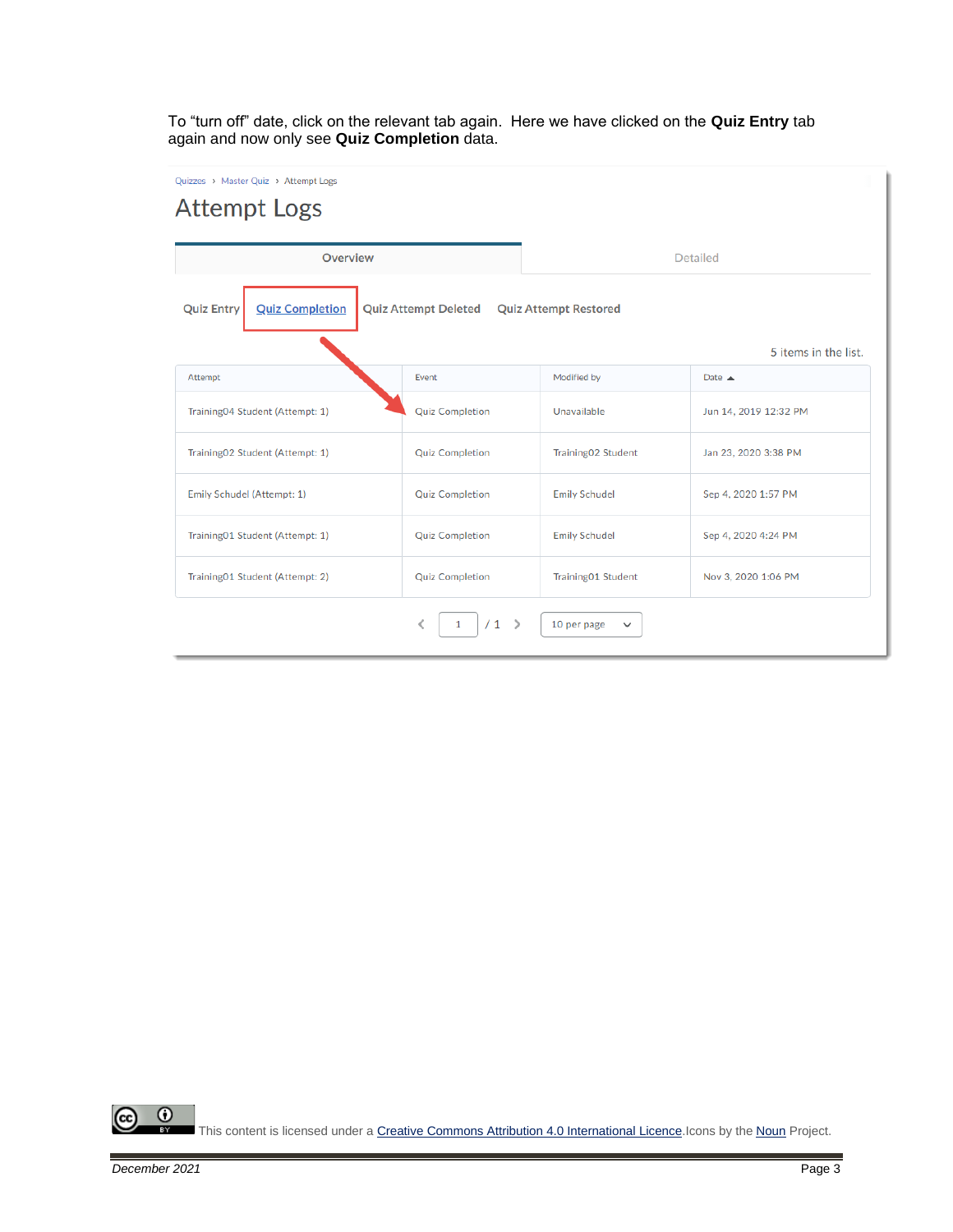To "turn off" date, click on the relevant tab again. Here we have clicked on the **Quiz Entry** tab again and now only see **Quiz Completion** data.

Quizzes > Master Quiz > Attempt Logs

### **Attempt Logs**

| <b>Overview</b>                                                                                            |                        | <b>Detailed</b>      |                       |  |
|------------------------------------------------------------------------------------------------------------|------------------------|----------------------|-----------------------|--|
| <b>Quiz Completion</b><br><b>Quiz Entry</b><br><b>Quiz Attempt Deleted</b><br><b>Quiz Attempt Restored</b> |                        |                      |                       |  |
|                                                                                                            |                        |                      | 5 items in the list.  |  |
| Attempt                                                                                                    | Event                  | Modified by          | Date $\triangle$      |  |
| Training04 Student (Attempt: 1)                                                                            | <b>Quiz Completion</b> | Unavailable          | Jun 14, 2019 12:32 PM |  |
| Training02 Student (Attempt: 1)                                                                            | <b>Quiz Completion</b> | Training02 Student   | Jan 23, 2020 3:38 PM  |  |
| Emily Schudel (Attempt: 1)                                                                                 | <b>Quiz Completion</b> | <b>Emily Schudel</b> | Sep 4, 2020 1:57 PM   |  |
| Training01 Student (Attempt: 1)                                                                            | <b>Quiz Completion</b> | <b>Emily Schudel</b> | Sep 4, 2020 4:24 PM   |  |
| Training01 Student (Attempt: 2)                                                                            | <b>Quiz Completion</b> | Training01 Student   | Nov 3, 2020 1:06 PM   |  |
| /1<br>K<br>ゝ<br>1<br>10 per page<br>$\checkmark$                                                           |                        |                      |                       |  |

 $\overline{\odot}$ (cc This content is licensed under [a Creative Commons Attribution 4.0 International Licence.I](https://creativecommons.org/licenses/by/4.0/)cons by the [Noun](https://creativecommons.org/website-icons/) Project.